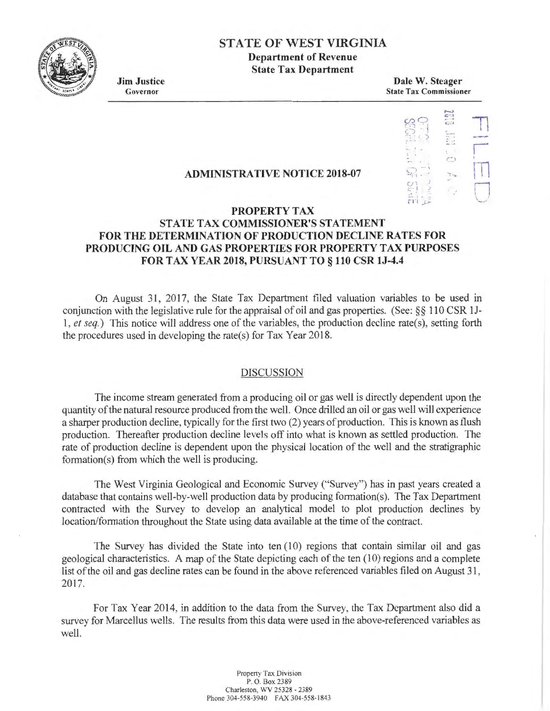

## **STATE OF WEST VIRGINIA Department of Revenue**

**State Tax Department** 

**Jim Justice**  Governor

**Dale W. Steager**  State Tax Commissioner



# **PROPERTY TAX**

**ADMINISTRATIVE NOTICE 2018-07** 

### **STATE TAX COMMISSIONER'S STATEMENT FOR THE DETERMINATION OF PRODUCTION DECLINE RATES FOR PRODUCING OIL AND GAS PROPERTIES FOR PROPERTY TAX PURPOSES FORT AX YEAR 2018, PURSUANT TO§ 110 CSR lJ-4.4**

On August 31, 2017, the State Tax Department filed valuation variables to be used in conjunction with the legislative rule for the appraisal of oil and gas properties. (See: §§ 110 CSR lJ-**1,** *et seq.)* This notice will address one of the variables, the production decline rate(s), setting forth the procedures used in developing the rate(s) for Tax Year 2018.

#### DISCUSSION

The income stream generated from a producing oil or gas well is directly dependent upon the quantity of the natural resource produced from the well. Once drilled an oil or gas well will experience a sharper production decline, typically for the first two (2) years of production. This is known as flush production. Thereafter production decline levels off into what is known as settled production. The rate of production decline is dependent upon the physical location of the well and the stratigraphic formation(s) from which the well is producing.

The West Virginia Geological and Economic Survey ("Survey") has in past years created a database that contains well-by-well production data by producing formation(s). The Tax Department contracted with the Survey to develop an analytical model to plot production declines by location/formation throughout the State using data available at the time of the contract.

The Survey has divided the State into ten (10) regions that contain similar oil and gas geological characteristics. A map of the State depicting each of the ten ( 10) regions and a complete list of the oil and gas decline rates can be found in the above referenced variables filed on August 31, 2017.

For Tax Year 2014, in addition to the data from the Survey, the Tax Department also did a survey for Marcellus wells. The results from this data were used in the above-referenced variables as well.

> Propeny Tax Division P. 0. Box 2389 Charleston, WV 25328 • 2389 Phone 304-558-3940 FAX 304-558-1843